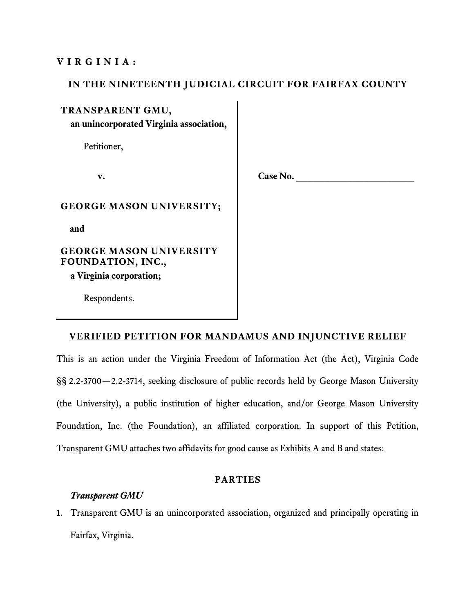### **VIRGINIA:**

## **IN THE NINETEENTH JUDICIAL CIRCUIT FOR FAIRFAX COUNTY**

### **TRANSPARENT GMU,**

**an unincorporated Virginia association,**

Petitioner,

v. Case No.

### **GEORGE MASON UNIVERSITY;**

**and**

# **GEORGE MASON UNIVERSITY FOUNDATION, INC.,**

**a Virginia corporation;**

Respondents.

## **VERIFIED PETITION FOR MANDAMUS AND INJUNCTIVE RELIEF**

This is an action under the Virginia Freedom of Information Act (the Act), Virginia Code §§ 2.2-3700—2.2-3714, seeking disclosure of public records held by George Mason University (the University), a public institution of higher education, and/or George Mason University Foundation, Inc. (the Foundation), an affiliated corporation. In support of this Petition, Transparent GMU attaches two affidavits for good cause as Exhibits A and B and states:

### **PARTIES**

## *Transparent GMU*

1. Transparent GMU is an unincorporated association, organized and principally operating in Fairfax, Virginia.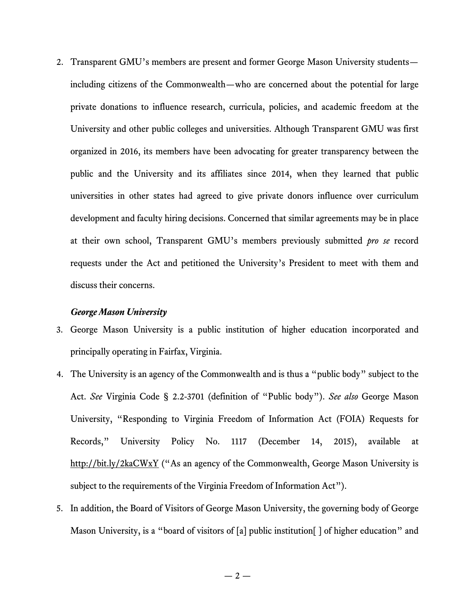2. Transparent GMU's members are present and former George Mason University students including citizens of the Commonwealth—who are concerned about the potential for large private donations to influence research, curricula, policies, and academic freedom at the University and other public colleges and universities. Although Transparent GMU was first organized in 2016, its members have been advocating for greater transparency between the public and the University and its affiliates since 2014, when they learned that public universities in other states had agreed to give private donors influence over curriculum development and faculty hiring decisions. Concerned that similar agreements may be in place at their own school, Transparent GMU's members previously submitted *pro se* record requests under the Act and petitioned the University's President to meet with them and discuss their concerns.

#### *George Mason University*

- 3. George Mason University is a public institution of higher education incorporated and principally operating in Fairfax, Virginia.
- 4. The University is an agency of the Commonwealth and is thus a "public body" subject to the Act. *See* Virginia Code § 2.2-3701 (definition of "Public body"). *See also* George Mason University, "Responding to Virginia Freedom of Information Act (FOIA) Requests for Records," University Policy No. 1117 (December 14, 2015), available at http://bit.ly/2kaCWxY ("As an agency of the Commonwealth, George Mason University is subject to the requirements of the Virginia Freedom of Information Act").
- 5. In addition, the Board of Visitors of George Mason University, the governing body of George Mason University, is a "board of visitors of [a] public institution [] of higher education" and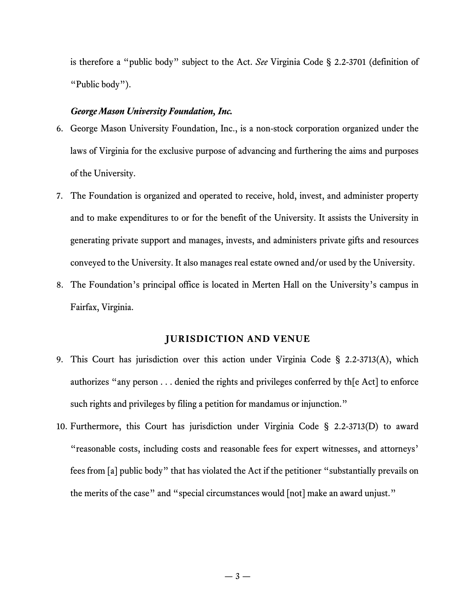is therefore a "public body" subject to the Act. *See* Virginia Code § 2.2-3701 (definition of "Public body").

#### *George Mason University Foundation, Inc.*

- 6. George Mason University Foundation, Inc., is a non-stock corporation organized under the laws of Virginia for the exclusive purpose of advancing and furthering the aims and purposes of the University.
- 7. The Foundation is organized and operated to receive, hold, invest, and administer property and to make expenditures to or for the benefit of the University. It assists the University in generating private support and manages, invests, and administers private gifts and resources conveyed to the University. It also manages real estate owned and/or used by the University.
- 8. The Foundation's principal office is located in Merten Hall on the University's campus in Fairfax, Virginia.

#### **JURISDICTION AND VENUE**

- 9. This Court has jurisdiction over this action under Virginia Code § 2.2-3713(A), which authorizes "any person . . . denied the rights and privileges conferred by th[e Act] to enforce such rights and privileges by filing a petition for mandamus or injunction."
- 10. Furthermore, this Court has jurisdiction under Virginia Code § 2.2-3713(D) to award "reasonable costs, including costs and reasonable fees for expert witnesses, and attorneys' fees from [a] public body" that has violated the Act if the petitioner "substantially prevails on the merits of the case" and "special circumstances would [not] make an award unjust."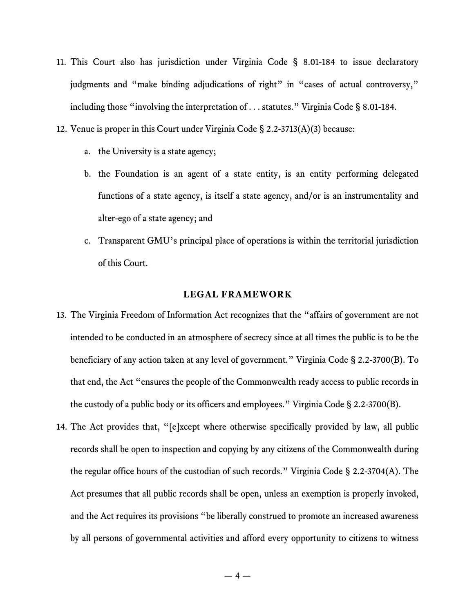- 11. This Court also has jurisdiction under Virginia Code § 8.01-184 to issue declaratory judgments and "make binding adjudications of right" in "cases of actual controversy," including those "involving the interpretation of . . . statutes." Virginia Code § 8.01-184.
- 12. Venue is proper in this Court under Virginia Code § 2.2-3713(A)(3) because:
	- a. the University is a state agency;
	- b. the Foundation is an agent of a state entity, is an entity performing delegated functions of a state agency, is itself a state agency, and/or is an instrumentality and alter-ego of a state agency; and
	- c. Transparent GMU's principal place of operations is within the territorial jurisdiction of this Court.

### **LEGAL FRAMEWORK**

- 13. The Virginia Freedom of Information Act recognizes that the "affairs of government are not intended to be conducted in an atmosphere of secrecy since at all times the public is to be the beneficiary of any action taken at any level of government." Virginia Code § 2.2-3700(B). To that end, the Act "ensures the people of the Commonwealth ready access to public records in the custody of a public body or its officers and employees." Virginia Code § 2.2-3700(B).
- 14. The Act provides that, "[e]xcept where otherwise specifically provided by law, all public records shall be open to inspection and copying by any citizens of the Commonwealth during the regular office hours of the custodian of such records." Virginia Code § 2.2-3704(A). The Act presumes that all public records shall be open, unless an exemption is properly invoked, and the Act requires its provisions "be liberally construed to promote an increased awareness by all persons of governmental activities and afford every opportunity to citizens to witness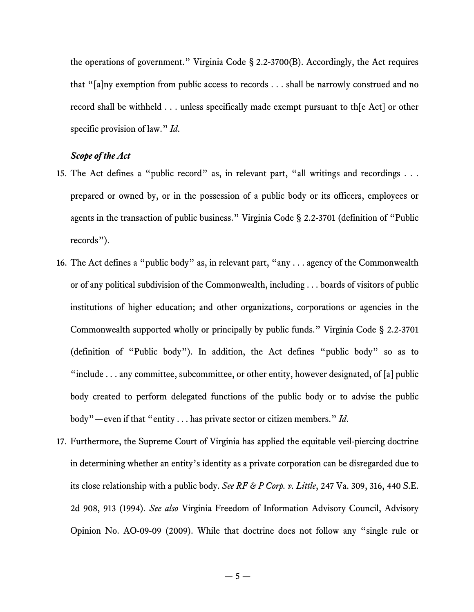the operations of government." Virginia Code § 2.2-3700(B). Accordingly, the Act requires that "[a]ny exemption from public access to records . . . shall be narrowly construed and no record shall be withheld . . . unless specifically made exempt pursuant to th[e Act] or other specific provision of law." *Id*.

## *Scope of the Act*

- 15. The Act defines a "public record" as, in relevant part, "all writings and recordings . . . prepared or owned by, or in the possession of a public body or its officers, employees or agents in the transaction of public business." Virginia Code § 2.2-3701 (definition of "Public records").
- 16. The Act defines a "public body" as, in relevant part, "any . . . agency of the Commonwealth or of any political subdivision of the Commonwealth, including . . . boards of visitors of public institutions of higher education; and other organizations, corporations or agencies in the Commonwealth supported wholly or principally by public funds." Virginia Code § 2.2-3701 (definition of "Public body"). In addition, the Act defines "public body" so as to "include  $\dots$  any committee, subcommittee, or other entity, however designated, of [a] public body created to perform delegated functions of the public body or to advise the public body"—even if that "entity . . . has private sector or citizen members." *Id*.
- 17. Furthermore, the Supreme Court of Virginia has applied the equitable veil-piercing doctrine in determining whether an entity's identity as a private corporation can be disregarded due to its close relationship with a public body. *See RF & P Corp. v. Little*, 247 Va. 309, 316, 440 S.E. 2d 908, 913 (1994). *See also* Virginia Freedom of Information Advisory Council, Advisory Opinion No. AO-09-09 (2009). While that doctrine does not follow any "single rule or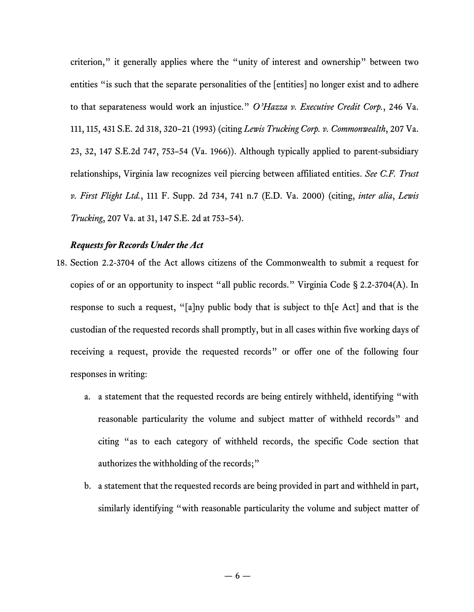criterion," it generally applies where the "unity of interest and ownership" between two entities "is such that the separate personalities of the [entities] no longer exist and to adhere to that separateness would work an injustice." *O'Hazza v. Executive Credit Corp.*, 246 Va. 111, 115, 431 S.E. 2d 318, 320–21 (1993) (citing *Lewis Trucking Corp. v. Commonwealth*, 207 Va. 23, 32, 147 S.E.2d 747, 753–54 (Va. 1966)). Although typically applied to parent-subsidiary relationships, Virginia law recognizes veil piercing between affiliated entities. *See C.F. Trust v. First Flight Ltd.*, 111 F. Supp. 2d 734, 741 n.7 (E.D. Va. 2000) (citing, *inter alia*, *Lewis Trucking*, 207 Va. at 31, 147 S.E. 2d at 753–54).

### *Requests for Records Under the Act*

- 18. Section 2.2-3704 of the Act allows citizens of the Commonwealth to submit a request for copies of or an opportunity to inspect "all public records." Virginia Code § 2.2-3704(A). In response to such a request, "[a]ny public body that is subject to th[e Act] and that is the custodian of the requested records shall promptly, but in all cases within five working days of receiving a request, provide the requested records" or offer one of the following four responses in writing:
	- a. a statement that the requested records are being entirely withheld, identifying "with reasonable particularity the volume and subject matter of withheld records" and citing "as to each category of withheld records, the specific Code section that authorizes the withholding of the records;"
	- b. a statement that the requested records are being provided in part and withheld in part, similarly identifying "with reasonable particularity the volume and subject matter of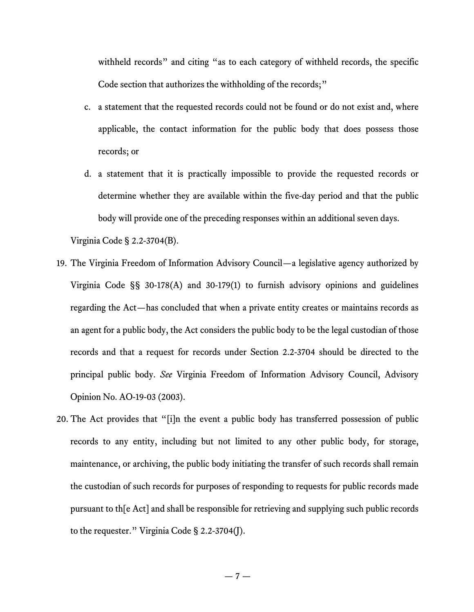withheld records" and citing "as to each category of withheld records, the specific Code section that authorizes the withholding of the records;"

- c. a statement that the requested records could not be found or do not exist and, where applicable, the contact information for the public body that does possess those records; or
- d. a statement that it is practically impossible to provide the requested records or determine whether they are available within the five-day period and that the public body will provide one of the preceding responses within an additional seven days.

Virginia Code § 2.2-3704(B).

- 19. The Virginia Freedom of Information Advisory Council—a legislative agency authorized by Virginia Code §§ 30-178(A) and 30-179(1) to furnish advisory opinions and guidelines regarding the Act—has concluded that when a private entity creates or maintains records as an agent for a public body, the Act considers the public body to be the legal custodian of those records and that a request for records under Section 2.2-3704 should be directed to the principal public body. *See* Virginia Freedom of Information Advisory Council, Advisory Opinion No. AO-19-03 (2003).
- 20. The Act provides that "[i]n the event a public body has transferred possession of public records to any entity, including but not limited to any other public body, for storage, maintenance, or archiving, the public body initiating the transfer of such records shall remain the custodian of such records for purposes of responding to requests for public records made pursuant to th[e Act] and shall be responsible for retrieving and supplying such public records to the requester." Virginia Code § 2.2-3704(J).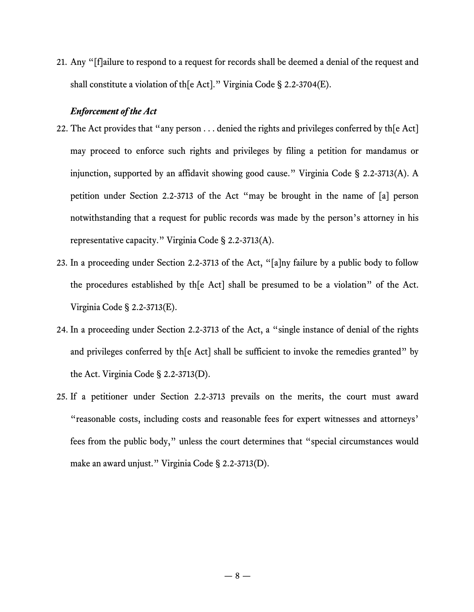21. Any "[f]ailure to respond to a request for records shall be deemed a denial of the request and shall constitute a violation of th[e Act]." Virginia Code § 2.2-3704(E).

#### *Enforcement of the Act*

- 22. The Act provides that "any person . . . denied the rights and privileges conferred by th[e Act] may proceed to enforce such rights and privileges by filing a petition for mandamus or injunction, supported by an affidavit showing good cause." Virginia Code § 2.2-3713(A). A petition under Section 2.2-3713 of the Act "may be brought in the name of [a] person notwithstanding that a request for public records was made by the person's attorney in his representative capacity." Virginia Code § 2.2-3713(A).
- 23. In a proceeding under Section 2.2-3713 of the Act, "[a]ny failure by a public body to follow the procedures established by th[e Act] shall be presumed to be a violation" of the Act. Virginia Code § 2.2-3713(E).
- 24. In a proceeding under Section 2.2-3713 of the Act, a "single instance of denial of the rights and privileges conferred by the Act shall be sufficient to invoke the remedies granted" by the Act. Virginia Code § 2.2-3713(D).
- 25. If a petitioner under Section 2.2-3713 prevails on the merits, the court must award "reasonable costs, including costs and reasonable fees for expert witnesses and attorneys' fees from the public body," unless the court determines that "special circumstances would make an award unjust." Virginia Code § 2.2-3713(D).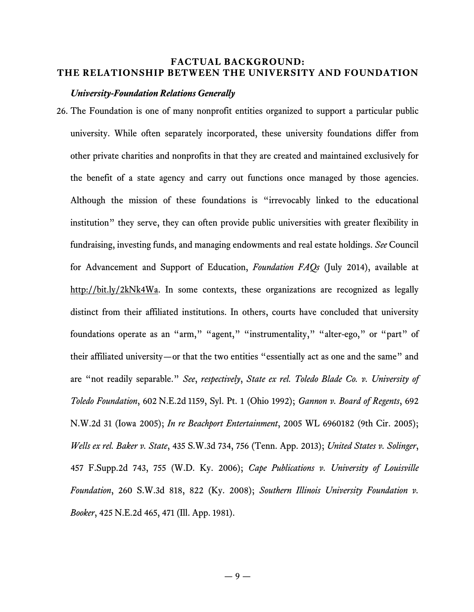## **FACTUAL BACKGROUND: THE RELATIONSHIP BETWEEN THE UNIVERSITY AND FOUNDATION**

#### *University-Foundation Relations Generally*

26. The Foundation is one of many nonprofit entities organized to support a particular public university. While often separately incorporated, these university foundations differ from other private charities and nonprofits in that they are created and maintained exclusively for the benefit of a state agency and carry out functions once managed by those agencies. Although the mission of these foundations is "irrevocably linked to the educational institution" they serve, they can often provide public universities with greater flexibility in fundraising, investing funds, and managing endowments and real estate holdings. *See* Council for Advancement and Support of Education, *Foundation FAQs* (July 2014), available at http://bit.ly/2kNk4Wa. In some contexts, these organizations are recognized as legally distinct from their affiliated institutions. In others, courts have concluded that university foundations operate as an "arm," "agent," "instrumentality," "alter-ego," or "part" of their affiliated university—or that the two entities "essentially act as one and the same" and are "not readily separable." *See*, *respectively*, *State ex rel. Toledo Blade Co. v. University of Toledo Foundation*, 602 N.E.2d 1159, Syl. Pt. 1 (Ohio 1992); *Gannon v. Board of Regents*, 692 N.W.2d 31 (Iowa 2005); *In re Beachport Entertainment*, 2005 WL 6960182 (9th Cir. 2005); *Wells ex rel. Baker v. State*, 435 S.W.3d 734, 756 (Tenn. App. 2013); *United States v. Solinger*, 457 F.Supp.2d 743, 755 (W.D. Ky. 2006); *Cape Publications v. University of Louisville Foundation*, 260 S.W.3d 818, 822 (Ky. 2008); *Southern Illinois University Foundation v. Booker*, 425 N.E.2d 465, 471 (Ill. App. 1981).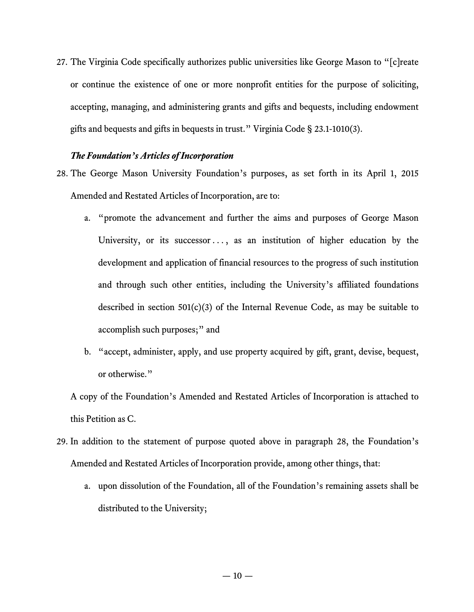27. The Virginia Code specifically authorizes public universities like George Mason to "[c]reate or continue the existence of one or more nonprofit entities for the purpose of soliciting, accepting, managing, and administering grants and gifts and bequests, including endowment gifts and bequests and gifts in bequests in trust." Virginia Code § 23.1-1010(3).

### *The Foundation's Articles of Incorporation*

- 28. The George Mason University Foundation's purposes, as set forth in its April 1, 2015 Amended and Restated Articles of Incorporation, are to:
	- a. "promote the advancement and further the aims and purposes of George Mason University, or its successor  $\dots$ , as an institution of higher education by the development and application of financial resources to the progress of such institution and through such other entities, including the University's affiliated foundations described in section 501(c)(3) of the Internal Revenue Code, as may be suitable to accomplish such purposes;" and
	- b. "accept, administer, apply, and use property acquired by gift, grant, devise, bequest, or otherwise."

A copy of the Foundation's Amended and Restated Articles of Incorporation is attached to this Petition as C.

- 29. In addition to the statement of purpose quoted above in paragraph 28, the Foundation's Amended and Restated Articles of Incorporation provide, among other things, that:
	- a. upon dissolution of the Foundation, all of the Foundation's remaining assets shall be distributed to the University;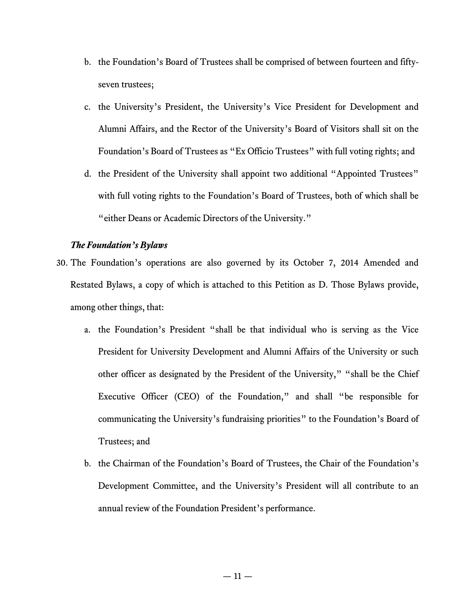- b. the Foundation's Board of Trustees shall be comprised of between fourteen and fiftyseven trustees;
- c. the University's President, the University's Vice President for Development and Alumni Affairs, and the Rector of the University's Board of Visitors shall sit on the Foundation's Board of Trustees as "Ex Officio Trustees" with full voting rights; and
- d. the President of the University shall appoint two additional "Appointed Trustees" with full voting rights to the Foundation's Board of Trustees, both of which shall be "either Deans or Academic Directors of the University."

## *The Foundation's Bylaws*

- 30. The Foundation's operations are also governed by its October 7, 2014 Amended and Restated Bylaws, a copy of which is attached to this Petition as D. Those Bylaws provide, among other things, that:
	- a. the Foundation's President "shall be that individual who is serving as the Vice President for University Development and Alumni Affairs of the University or such other officer as designated by the President of the University," "shall be the Chief Executive Officer (CEO) of the Foundation," and shall "be responsible for communicating the University's fundraising priorities" to the Foundation's Board of Trustees; and
	- b. the Chairman of the Foundation's Board of Trustees, the Chair of the Foundation's Development Committee, and the University's President will all contribute to an annual review of the Foundation President's performance.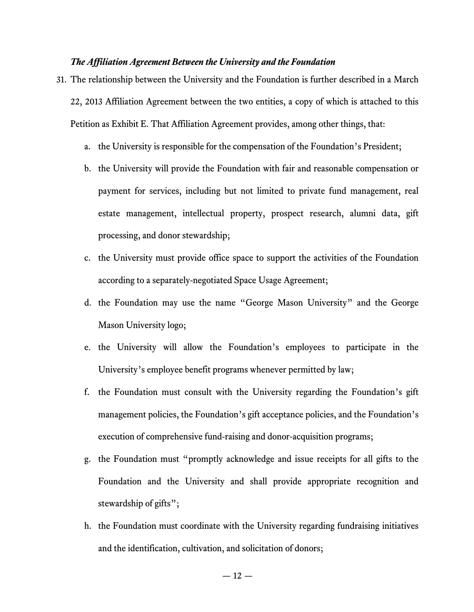#### *The Affiliation Agreement Between the University and the Foundation*

- 31. The relationship between the University and the Foundation is further described in a March 22, 2013 Affiliation Agreement between the two entities, a copy of which is attached to this Petition as Exhibit E. That Affiliation Agreement provides, among other things, that:
	- a. the University is responsible for the compensation of the Foundation's President;
	- b. the University will provide the Foundation with fair and reasonable compensation or payment for services, including but not limited to private fund management, real estate management, intellectual property, prospect research, alumni data, gift processing, and donor stewardship;
	- c. the University must provide office space to support the activities of the Foundation according to a separately-negotiated Space Usage Agreement;
	- d. the Foundation may use the name "George Mason University" and the George Mason University logo;
	- e. the University will allow the Foundation's employees to participate in the University's employee benefit programs whenever permitted by law;
	- f. the Foundation must consult with the University regarding the Foundation's gift management policies, the Foundation's gift acceptance policies, and the Foundation's execution of comprehensive fund-raising and donor-acquisition programs;
	- g. the Foundation must "promptly acknowledge and issue receipts for all gifts to the Foundation and the University and shall provide appropriate recognition and stewardship of gifts";
	- h. the Foundation must coordinate with the University regarding fundraising initiatives and the identification, cultivation, and solicitation of donors;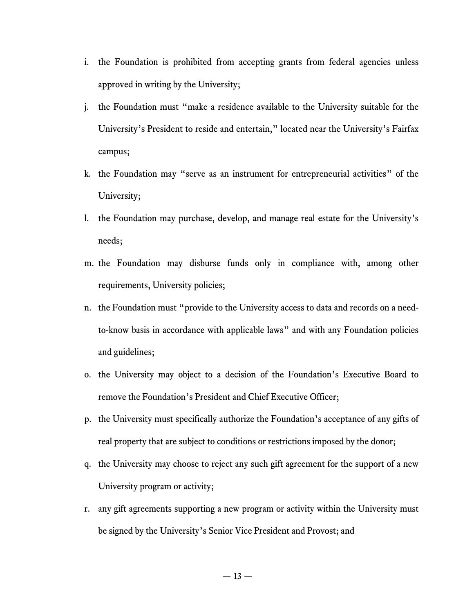- i. the Foundation is prohibited from accepting grants from federal agencies unless approved in writing by the University;
- j. the Foundation must "make a residence available to the University suitable for the University's President to reside and entertain," located near the University's Fairfax campus;
- k. the Foundation may "serve as an instrument for entrepreneurial activities" of the University;
- l. the Foundation may purchase, develop, and manage real estate for the University's needs;
- m. the Foundation may disburse funds only in compliance with, among other requirements, University policies;
- n. the Foundation must "provide to the University access to data and records on a needto-know basis in accordance with applicable laws" and with any Foundation policies and guidelines;
- o. the University may object to a decision of the Foundation's Executive Board to remove the Foundation's President and Chief Executive Officer;
- p. the University must specifically authorize the Foundation's acceptance of any gifts of real property that are subject to conditions or restrictions imposed by the donor;
- q. the University may choose to reject any such gift agreement for the support of a new University program or activity;
- r. any gift agreements supporting a new program or activity within the University must be signed by the University's Senior Vice President and Provost; and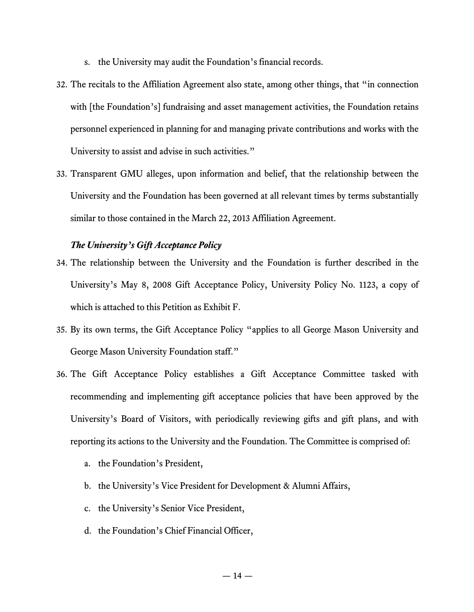- s. the University may audit the Foundation's financial records.
- 32. The recitals to the Affiliation Agreement also state, among other things, that "in connection with [the Foundation's] fundraising and asset management activities, the Foundation retains personnel experienced in planning for and managing private contributions and works with the University to assist and advise in such activities."
- 33. Transparent GMU alleges, upon information and belief, that the relationship between the University and the Foundation has been governed at all relevant times by terms substantially similar to those contained in the March 22, 2013 Affiliation Agreement.

## *The University's Gift Acceptance Policy*

- 34. The relationship between the University and the Foundation is further described in the University's May 8, 2008 Gift Acceptance Policy, University Policy No. 1123, a copy of which is attached to this Petition as Exhibit F.
- 35. By its own terms, the Gift Acceptance Policy "applies to all George Mason University and George Mason University Foundation staff."
- 36. The Gift Acceptance Policy establishes a Gift Acceptance Committee tasked with recommending and implementing gift acceptance policies that have been approved by the University's Board of Visitors, with periodically reviewing gifts and gift plans, and with reporting its actions to the University and the Foundation. The Committee is comprised of:
	- a. the Foundation's President,
	- b. the University's Vice President for Development & Alumni Affairs,
	- c. the University's Senior Vice President,
	- d. the Foundation's Chief Financial Officer,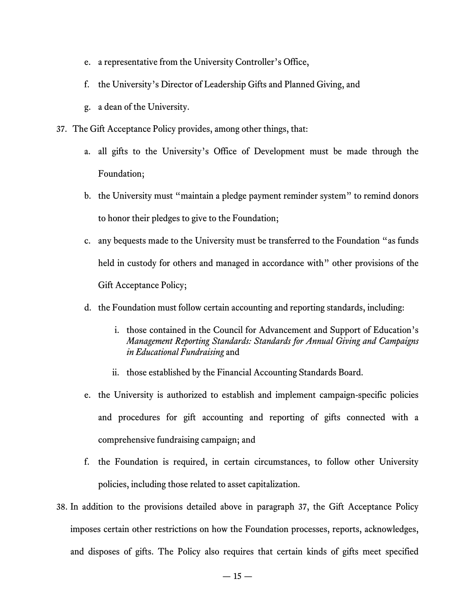- e. a representative from the University Controller's Office,
- f. the University's Director of Leadership Gifts and Planned Giving, and
- g. a dean of the University.
- 37. The Gift Acceptance Policy provides, among other things, that:
	- a. all gifts to the University's Office of Development must be made through the Foundation;
	- b. the University must "maintain a pledge payment reminder system" to remind donors to honor their pledges to give to the Foundation;
	- c. any bequests made to the University must be transferred to the Foundation "as funds held in custody for others and managed in accordance with" other provisions of the Gift Acceptance Policy;
	- d. the Foundation must follow certain accounting and reporting standards, including:
		- i. those contained in the Council for Advancement and Support of Education's *Management Reporting Standards: Standards for Annual Giving and Campaigns in Educational Fundraising* and
		- ii. those established by the Financial Accounting Standards Board.
	- e. the University is authorized to establish and implement campaign-specific policies and procedures for gift accounting and reporting of gifts connected with a comprehensive fundraising campaign; and
	- f. the Foundation is required, in certain circumstances, to follow other University policies, including those related to asset capitalization.
- 38. In addition to the provisions detailed above in paragraph 37, the Gift Acceptance Policy imposes certain other restrictions on how the Foundation processes, reports, acknowledges, and disposes of gifts. The Policy also requires that certain kinds of gifts meet specified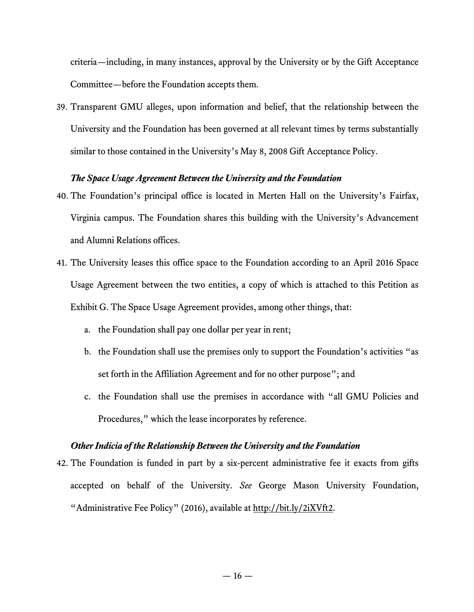criteria—including, in many instances, approval by the University or by the Gift Acceptance Committee—before the Foundation accepts them.

39. Transparent GMU alleges, upon information and belief, that the relationship between the University and the Foundation has been governed at all relevant times by terms substantially similar to those contained in the University's May 8, 2008 Gift Acceptance Policy.

### *The Space Usage Agreement Between the University and the Foundation*

- 40. The Foundation's principal office is located in Merten Hall on the University's Fairfax, Virginia campus. The Foundation shares this building with the University's Advancement and Alumni Relations offices.
- 41. The University leases this office space to the Foundation according to an April 2016 Space Usage Agreement between the two entities, a copy of which is attached to this Petition as Exhibit G. The Space Usage Agreement provides, among other things, that:
	- a. the Foundation shall pay one dollar per year in rent;
	- b. the Foundation shall use the premises only to support the Foundation's activities "as set forth in the Affiliation Agreement and for no other purpose"; and
	- c. the Foundation shall use the premises in accordance with "all GMU Policies and Procedures," which the lease incorporates by reference.

### *Other Indicia of the Relationship Between the University and the Foundation*

42. The Foundation is funded in part by a six-percent administrative fee it exacts from gifts accepted on behalf of the University. *See* George Mason University Foundation, "Administrative Fee Policy" (2016), available at http://bit.ly/2iXVft2.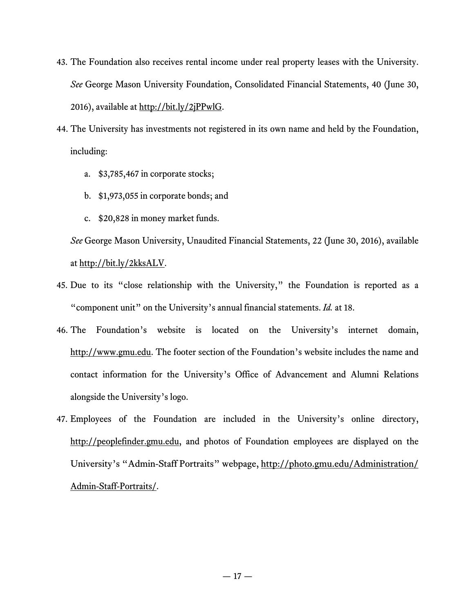- 43. The Foundation also receives rental income under real property leases with the University. *See* George Mason University Foundation, Consolidated Financial Statements, 40 (June 30, 2016), available at http://bit.ly/2jPPwlG.
- 44. The University has investments not registered in its own name and held by the Foundation, including:
	- a. \$3,785,467 in corporate stocks;
	- b. \$1,973,055 in corporate bonds; and
	- c. \$20,828 in money market funds.

*See* George Mason University, Unaudited Financial Statements, 22 (June 30, 2016), available at http://bit.ly/2kksALV.

- 45. Due to its "close relationship with the University," the Foundation is reported as a "component unit" on the University's annual financial statements. *Id.* at 18.
- 46. The Foundation's website is located on the University's internet domain, http://www.gmu.edu. The footer section of the Foundation's website includes the name and contact information for the University's Office of Advancement and Alumni Relations alongside the University's logo.
- 47. Employees of the Foundation are included in the University's online directory, http://peoplefinder.gmu.edu, and photos of Foundation employees are displayed on the University's "Admin-Staff Portraits" webpage, http://photo.gmu.edu/Administration/ Admin-Staff-Portraits/.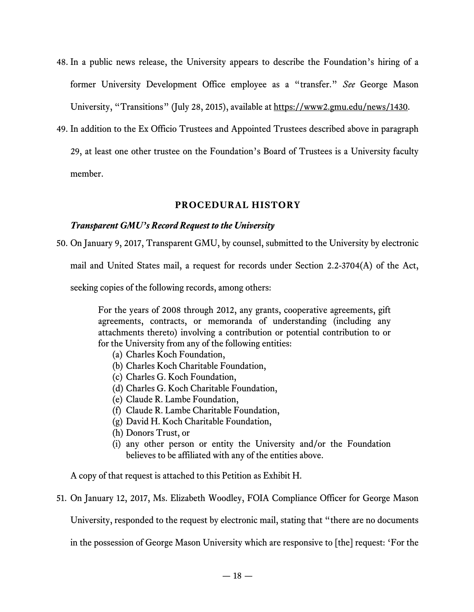- 48. In a public news release, the University appears to describe the Foundation's hiring of a former University Development Office employee as a "transfer." *See* George Mason University, "Transitions" (July 28, 2015), available at https://www2.gmu.edu/news/1430.
- 49. In addition to the Ex Officio Trustees and Appointed Trustees described above in paragraph 29, at least one other trustee on the Foundation's Board of Trustees is a University faculty member.

## **PROCEDURAL HISTORY**

## *Transparent GMU's Record Request to the University*

50. On January 9, 2017, Transparent GMU, by counsel, submitted to the University by electronic

mail and United States mail, a request for records under Section 2.2-3704(A) of the Act,

seeking copies of the following records, among others:

For the years of 2008 through 2012, any grants, cooperative agreements, gift agreements, contracts, or memoranda of understanding (including any attachments thereto) involving a contribution or potential contribution to or for the University from any of the following entities:

- (a) Charles Koch Foundation,
- (b) Charles Koch Charitable Foundation,
- (c) Charles G. Koch Foundation,
- (d) Charles G. Koch Charitable Foundation,
- (e) Claude R. Lambe Foundation,
- (f) Claude R. Lambe Charitable Foundation,
- (g) David H. Koch Charitable Foundation,
- (h) Donors Trust, or
- (i) any other person or entity the University and/or the Foundation believes to be affiliated with any of the entities above.

A copy of that request is attached to this Petition as Exhibit H.

51. On January 12, 2017, Ms. Elizabeth Woodley, FOIA Compliance Officer for George Mason

University, responded to the request by electronic mail, stating that "there are no documents

in the possession of George Mason University which are responsive to [the] request: 'For the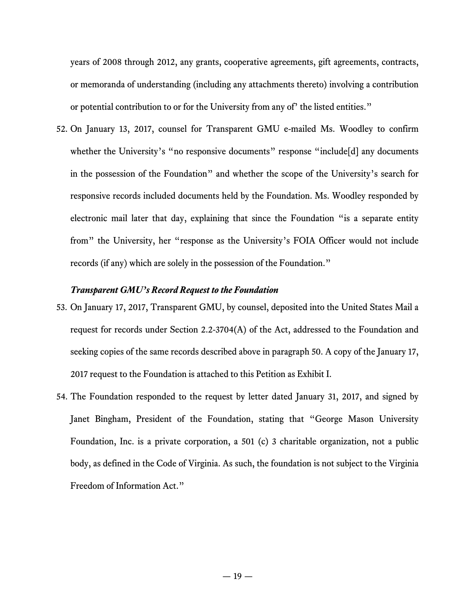years of 2008 through 2012, any grants, cooperative agreements, gift agreements, contracts, or memoranda of understanding (including any attachments thereto) involving a contribution or potential contribution to or for the University from any of' the listed entities."

52. On January 13, 2017, counsel for Transparent GMU e-mailed Ms. Woodley to confirm whether the University's "no responsive documents" response "include[d] any documents in the possession of the Foundation" and whether the scope of the University's search for responsive records included documents held by the Foundation. Ms. Woodley responded by electronic mail later that day, explaining that since the Foundation "is a separate entity from" the University, her "response as the University's FOIA Officer would not include records (if any) which are solely in the possession of the Foundation."

### *Transparent GMU's Record Request to the Foundation*

- 53. On January 17, 2017, Transparent GMU, by counsel, deposited into the United States Mail a request for records under Section 2.2-3704(A) of the Act, addressed to the Foundation and seeking copies of the same records described above in paragraph 50. A copy of the January 17, 2017 request to the Foundation is attached to this Petition as Exhibit I.
- 54. The Foundation responded to the request by letter dated January 31, 2017, and signed by Janet Bingham, President of the Foundation, stating that "George Mason University Foundation, Inc. is a private corporation, a 501 (c) 3 charitable organization, not a public body, as defined in the Code of Virginia. As such, the foundation is not subject to the Virginia Freedom of Information Act."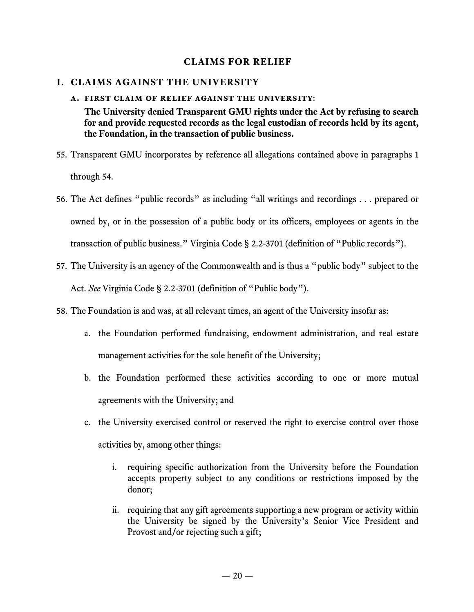## **CLAIMS FOR RELIEF**

## **I. CLAIMS AGAINST THE UNIVERSITY**

## **a. first claim of relief against the university**:

**The University denied Transparent GMU rights under the Act by refusing to search for and provide requested records as the legal custodian of records held by its agent, the Foundation, in the transaction of public business.**

- 55. Transparent GMU incorporates by reference all allegations contained above in paragraphs 1 through 54.
- 56. The Act defines "public records" as including "all writings and recordings . . . prepared or owned by, or in the possession of a public body or its officers, employees or agents in the transaction of public business." Virginia Code § 2.2-3701 (definition of "Public records").
- 57. The University is an agency of the Commonwealth and is thus a "public body" subject to the Act. *See* Virginia Code § 2.2-3701 (definition of "Public body").
- 58. The Foundation is and was, at all relevant times, an agent of the University insofar as:
	- a. the Foundation performed fundraising, endowment administration, and real estate management activities for the sole benefit of the University;
	- b. the Foundation performed these activities according to one or more mutual agreements with the University; and
	- c. the University exercised control or reserved the right to exercise control over those activities by, among other things:
		- i. requiring specific authorization from the University before the Foundation accepts property subject to any conditions or restrictions imposed by the donor;
		- ii. requiring that any gift agreements supporting a new program or activity within the University be signed by the University's Senior Vice President and Provost and/or rejecting such a gift;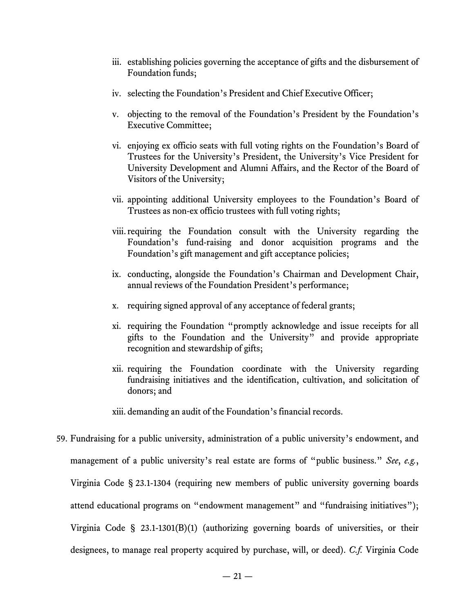- iii. establishing policies governing the acceptance of gifts and the disbursement of Foundation funds;
- iv. selecting the Foundation's President and Chief Executive Officer;
- v. objecting to the removal of the Foundation's President by the Foundation's Executive Committee;
- vi. enjoying ex officio seats with full voting rights on the Foundation's Board of Trustees for the University's President, the University's Vice President for University Development and Alumni Affairs, and the Rector of the Board of Visitors of the University;
- vii. appointing additional University employees to the Foundation's Board of Trustees as non-ex officio trustees with full voting rights;
- viii.requiring the Foundation consult with the University regarding the Foundation's fund-raising and donor acquisition programs and the Foundation's gift management and gift acceptance policies;
- ix. conducting, alongside the Foundation's Chairman and Development Chair, annual reviews of the Foundation President's performance;
- x. requiring signed approval of any acceptance of federal grants;
- xi. requiring the Foundation "promptly acknowledge and issue receipts for all gifts to the Foundation and the University" and provide appropriate recognition and stewardship of gifts;
- xii. requiring the Foundation coordinate with the University regarding fundraising initiatives and the identification, cultivation, and solicitation of donors; and

xiii. demanding an audit of the Foundation's financial records.

59. Fundraising for a public university, administration of a public university's endowment, and management of a public university's real estate are forms of "public business." *See*, *e.g.*, Virginia Code § 23.1-1304 (requiring new members of public university governing boards attend educational programs on "endowment management" and "fundraising initiatives"); Virginia Code § 23.1-1301(B)(1) (authorizing governing boards of universities, or their designees, to manage real property acquired by purchase, will, or deed). *C.f.* Virginia Code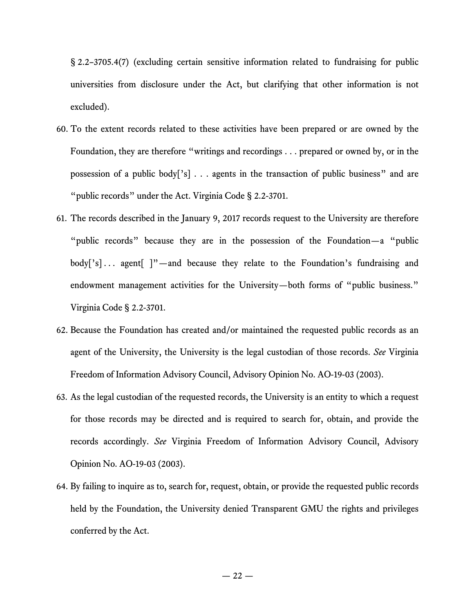§ 2.2–3705.4(7) (excluding certain sensitive information related to fundraising for public universities from disclosure under the Act, but clarifying that other information is not excluded).

- 60. To the extent records related to these activities have been prepared or are owned by the Foundation, they are therefore "writings and recordings . . . prepared or owned by, or in the possession of a public body['s] . . . agents in the transaction of public business" and are "public records" under the Act. Virginia Code § 2.2-3701.
- 61. The records described in the January 9, 2017 records request to the University are therefore "public records" because they are in the possession of the Foundation—a "public body['s]... agent[ ]"-and because they relate to the Foundation's fundraising and endowment management activities for the University—both forms of "public business." Virginia Code § 2.2-3701.
- 62. Because the Foundation has created and/or maintained the requested public records as an agent of the University, the University is the legal custodian of those records. *See* Virginia Freedom of Information Advisory Council, Advisory Opinion No. AO-19-03 (2003).
- 63. As the legal custodian of the requested records, the University is an entity to which a request for those records may be directed and is required to search for, obtain, and provide the records accordingly. *See* Virginia Freedom of Information Advisory Council, Advisory Opinion No. AO-19-03 (2003).
- 64. By failing to inquire as to, search for, request, obtain, or provide the requested public records held by the Foundation, the University denied Transparent GMU the rights and privileges conferred by the Act.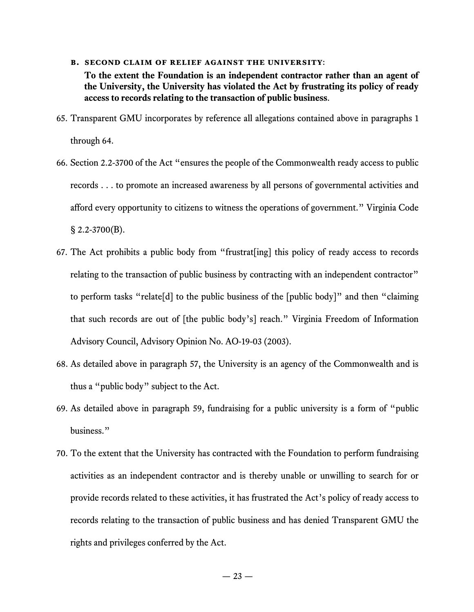#### **b. second claim of relief against the university**:

**To the extent the Foundation is an independent contractor rather than an agent of the University, the University has violated the Act by frustrating its policy of ready access to records relating to the transaction of public business**.

- 65. Transparent GMU incorporates by reference all allegations contained above in paragraphs 1 through 64.
- 66. Section 2.2-3700 of the Act "ensures the people of the Commonwealth ready access to public records . . . to promote an increased awareness by all persons of governmental activities and afford every opportunity to citizens to witness the operations of government." Virginia Code § 2.2-3700(B).
- 67. The Act prohibits a public body from "frustrat[ing] this policy of ready access to records relating to the transaction of public business by contracting with an independent contractor" to perform tasks "relate[d] to the public business of the [public body]" and then "claiming that such records are out of [the public body's] reach." Virginia Freedom of Information Advisory Council, Advisory Opinion No. AO-19-03 (2003).
- 68. As detailed above in paragraph 57, the University is an agency of the Commonwealth and is thus a "public body" subject to the Act.
- 69. As detailed above in paragraph 59, fundraising for a public university is a form of "public business."
- 70. To the extent that the University has contracted with the Foundation to perform fundraising activities as an independent contractor and is thereby unable or unwilling to search for or provide records related to these activities, it has frustrated the Act's policy of ready access to records relating to the transaction of public business and has denied Transparent GMU the rights and privileges conferred by the Act.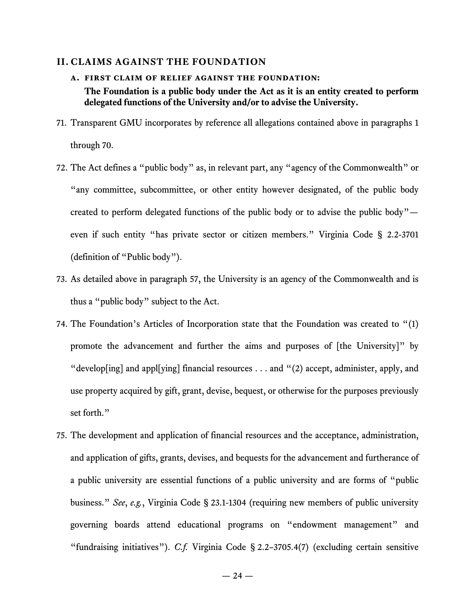#### **II. CLAIMS AGAINST THE FOUNDATION**

- **a. first claim of relief against the foundation: The Foundation is a public body under the Act as it is an entity created to perform delegated functions of the University and/or to advise the University.**
- 71. Transparent GMU incorporates by reference all allegations contained above in paragraphs 1 through 70.
- 72. The Act defines a "public body" as, in relevant part, any "agency of the Commonwealth" or "any committee, subcommittee, or other entity however designated, of the public body created to perform delegated functions of the public body or to advise the public body" even if such entity "has private sector or citizen members." Virginia Code § 2.2-3701 (definition of "Public body").
- 73. As detailed above in paragraph 57, the University is an agency of the Commonwealth and is thus a "public body" subject to the Act.
- 74. The Foundation's Articles of Incorporation state that the Foundation was created to "(1) promote the advancement and further the aims and purposes of [the University]" by "develop[ing] and appl[ying] financial resources  $\dots$  and "(2) accept, administer, apply, and use property acquired by gift, grant, devise, bequest, or otherwise for the purposes previously set forth."
- 75. The development and application of financial resources and the acceptance, administration, and application of gifts, grants, devises, and bequests for the advancement and furtherance of a public university are essential functions of a public university and are forms of "public business." *See*, *e.g.*, Virginia Code § 23.1-1304 (requiring new members of public university governing boards attend educational programs on "endowment management" and "fundraising initiatives"). *C.f.* Virginia Code § 2.2–3705.4(7) (excluding certain sensitive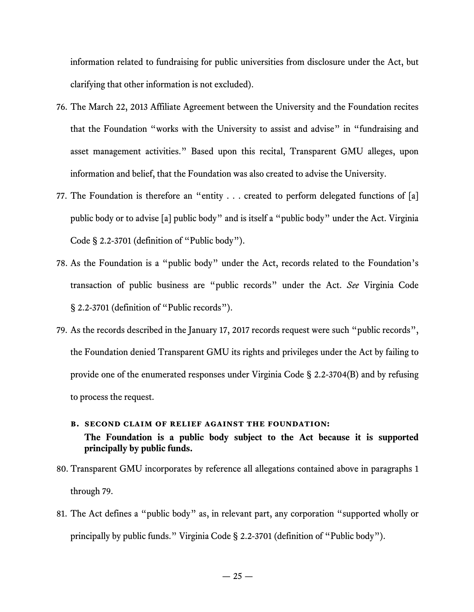information related to fundraising for public universities from disclosure under the Act, but clarifying that other information is not excluded).

- 76. The March 22, 2013 Affiliate Agreement between the University and the Foundation recites that the Foundation "works with the University to assist and advise" in "fundraising and asset management activities." Based upon this recital, Transparent GMU alleges, upon information and belief, that the Foundation was also created to advise the University.
- 77. The Foundation is therefore an "entity . . . created to perform delegated functions of [a] public body or to advise [a] public body" and is itself a "public body" under the Act. Virginia Code § 2.2-3701 (definition of "Public body").
- 78. As the Foundation is a "public body" under the Act, records related to the Foundation's transaction of public business are "public records" under the Act. *See* Virginia Code § 2.2-3701 (definition of "Public records").
- 79. As the records described in the January 17, 2017 records request were such "public records", the Foundation denied Transparent GMU its rights and privileges under the Act by failing to provide one of the enumerated responses under Virginia Code § 2.2-3704(B) and by refusing to process the request.

## **b. second claim of relief against the foundation: The Foundation is a public body subject to the Act because it is supported principally by public funds.**

- 80. Transparent GMU incorporates by reference all allegations contained above in paragraphs 1 through 79.
- 81. The Act defines a "public body" as, in relevant part, any corporation "supported wholly or principally by public funds." Virginia Code § 2.2-3701 (definition of "Public body").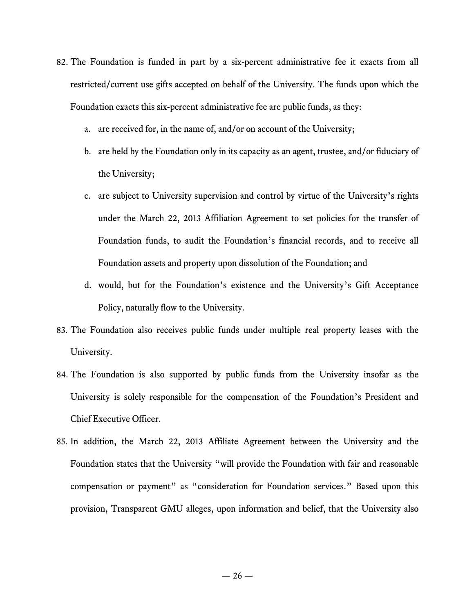- 82. The Foundation is funded in part by a six-percent administrative fee it exacts from all restricted/current use gifts accepted on behalf of the University. The funds upon which the Foundation exacts this six-percent administrative fee are public funds, as they:
	- a. are received for, in the name of, and/or on account of the University;
	- b. are held by the Foundation only in its capacity as an agent, trustee, and/or fiduciary of the University;
	- c. are subject to University supervision and control by virtue of the University's rights under the March 22, 2013 Affiliation Agreement to set policies for the transfer of Foundation funds, to audit the Foundation's financial records, and to receive all Foundation assets and property upon dissolution of the Foundation; and
	- d. would, but for the Foundation's existence and the University's Gift Acceptance Policy, naturally flow to the University.
- 83. The Foundation also receives public funds under multiple real property leases with the University.
- 84. The Foundation is also supported by public funds from the University insofar as the University is solely responsible for the compensation of the Foundation's President and Chief Executive Officer.
- 85. In addition, the March 22, 2013 Affiliate Agreement between the University and the Foundation states that the University "will provide the Foundation with fair and reasonable compensation or payment" as "consideration for Foundation services." Based upon this provision, Transparent GMU alleges, upon information and belief, that the University also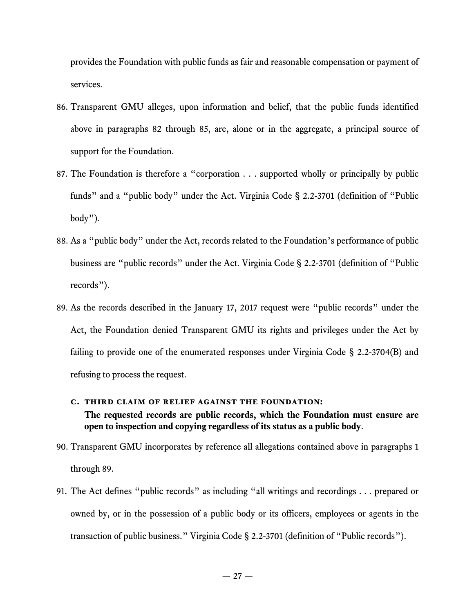provides the Foundation with public funds as fair and reasonable compensation or payment of services.

- 86. Transparent GMU alleges, upon information and belief, that the public funds identified above in paragraphs 82 through 85, are, alone or in the aggregate, a principal source of support for the Foundation.
- 87. The Foundation is therefore a "corporation . . . supported wholly or principally by public funds" and a "public body" under the Act. Virginia Code § 2.2-3701 (definition of "Public body").
- 88. As a "public body" under the Act, records related to the Foundation's performance of public business are "public records" under the Act. Virginia Code § 2.2-3701 (definition of "Public records").
- 89. As the records described in the January 17, 2017 request were "public records" under the Act, the Foundation denied Transparent GMU its rights and privileges under the Act by failing to provide one of the enumerated responses under Virginia Code § 2.2-3704(B) and refusing to process the request.

## **c. third claim of relief against the foundation: The requested records are public records, which the Foundation must ensure are open to inspection and copying regardless of its status as a public body**.

- 90. Transparent GMU incorporates by reference all allegations contained above in paragraphs 1 through 89.
- 91. The Act defines "public records" as including "all writings and recordings . . . prepared or owned by, or in the possession of a public body or its officers, employees or agents in the transaction of public business." Virginia Code § 2.2-3701 (definition of "Public records").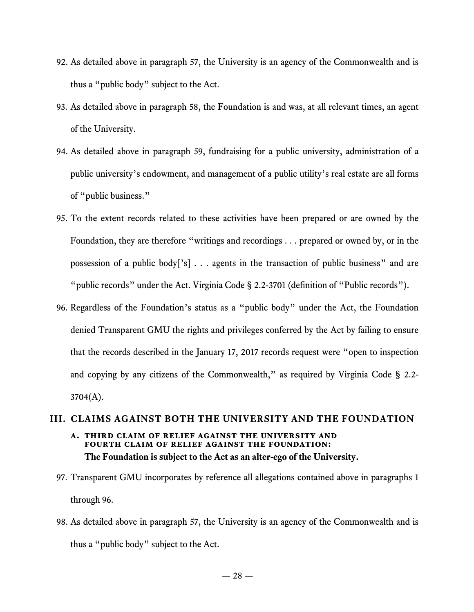- 92. As detailed above in paragraph 57, the University is an agency of the Commonwealth and is thus a "public body" subject to the Act.
- 93. As detailed above in paragraph 58, the Foundation is and was, at all relevant times, an agent of the University.
- 94. As detailed above in paragraph 59, fundraising for a public university, administration of a public university's endowment, and management of a public utility's real estate are all forms of "public business."
- 95. To the extent records related to these activities have been prepared or are owned by the Foundation, they are therefore "writings and recordings . . . prepared or owned by, or in the possession of a public body['s] . . . agents in the transaction of public business" and are "public records" under the Act. Virginia Code § 2.2-3701 (definition of "Public records").
- 96. Regardless of the Foundation's status as a "public body" under the Act, the Foundation denied Transparent GMU the rights and privileges conferred by the Act by failing to ensure that the records described in the January 17, 2017 records request were "open to inspection and copying by any citizens of the Commonwealth," as required by Virginia Code § 2.2-3704(A).

## **III. CLAIMS AGAINST BOTH THE UNIVERSITY AND THE FOUNDATION a. third claim of relief against the university and fourth claim of relief against the foundation: The Foundation is subject to the Act as an alter-ego of the University.**

- 97. Transparent GMU incorporates by reference all allegations contained above in paragraphs 1 through 96.
- 98. As detailed above in paragraph 57, the University is an agency of the Commonwealth and is thus a "public body" subject to the Act.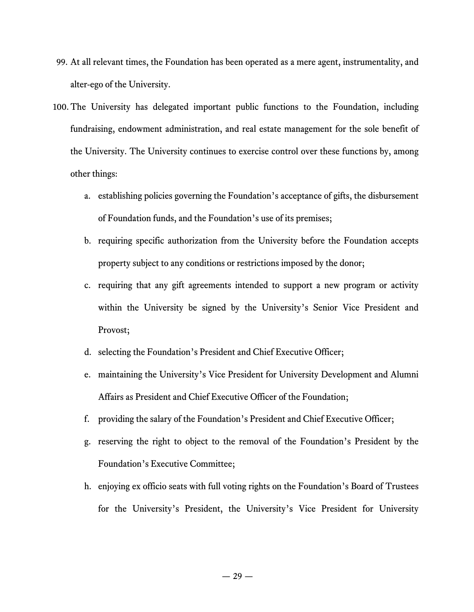- 99. At all relevant times, the Foundation has been operated as a mere agent, instrumentality, and alter-ego of the University.
- 100. The University has delegated important public functions to the Foundation, including fundraising, endowment administration, and real estate management for the sole benefit of the University. The University continues to exercise control over these functions by, among other things:
	- a. establishing policies governing the Foundation's acceptance of gifts, the disbursement of Foundation funds, and the Foundation's use of its premises;
	- b. requiring specific authorization from the University before the Foundation accepts property subject to any conditions or restrictions imposed by the donor;
	- c. requiring that any gift agreements intended to support a new program or activity within the University be signed by the University's Senior Vice President and Provost;
	- d. selecting the Foundation's President and Chief Executive Officer;
	- e. maintaining the University's Vice President for University Development and Alumni Affairs as President and Chief Executive Officer of the Foundation;
	- f. providing the salary of the Foundation's President and Chief Executive Officer;
	- g. reserving the right to object to the removal of the Foundation's President by the Foundation's Executive Committee;
	- h. enjoying ex officio seats with full voting rights on the Foundation's Board of Trustees for the University's President, the University's Vice President for University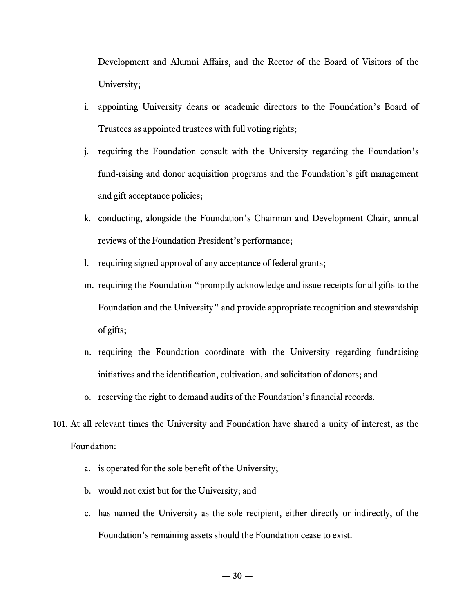Development and Alumni Affairs, and the Rector of the Board of Visitors of the University;

- i. appointing University deans or academic directors to the Foundation's Board of Trustees as appointed trustees with full voting rights;
- j. requiring the Foundation consult with the University regarding the Foundation's fund-raising and donor acquisition programs and the Foundation's gift management and gift acceptance policies;
- k. conducting, alongside the Foundation's Chairman and Development Chair, annual reviews of the Foundation President's performance;
- l. requiring signed approval of any acceptance of federal grants;
- m. requiring the Foundation "promptly acknowledge and issue receipts for all gifts to the Foundation and the University" and provide appropriate recognition and stewardship of gifts;
- n. requiring the Foundation coordinate with the University regarding fundraising initiatives and the identification, cultivation, and solicitation of donors; and
- o. reserving the right to demand audits of the Foundation's financial records.
- 101. At all relevant times the University and Foundation have shared a unity of interest, as the Foundation:
	- a. is operated for the sole benefit of the University;
	- b. would not exist but for the University; and
	- c. has named the University as the sole recipient, either directly or indirectly, of the Foundation's remaining assets should the Foundation cease to exist.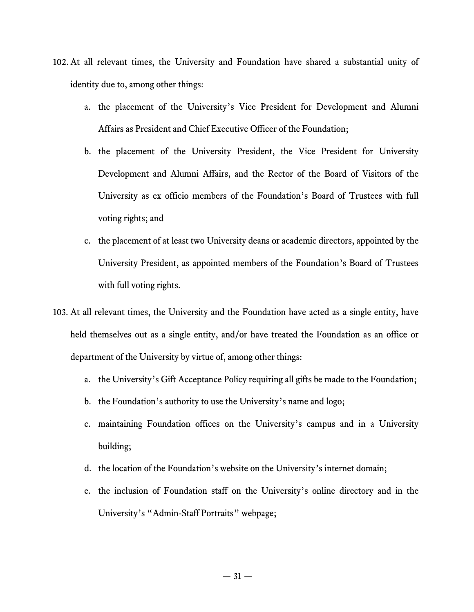- 102. At all relevant times, the University and Foundation have shared a substantial unity of identity due to, among other things:
	- a. the placement of the University's Vice President for Development and Alumni Affairs as President and Chief Executive Officer of the Foundation;
	- b. the placement of the University President, the Vice President for University Development and Alumni Affairs, and the Rector of the Board of Visitors of the University as ex officio members of the Foundation's Board of Trustees with full voting rights; and
	- c. the placement of at least two University deans or academic directors, appointed by the University President, as appointed members of the Foundation's Board of Trustees with full voting rights.
- 103. At all relevant times, the University and the Foundation have acted as a single entity, have held themselves out as a single entity, and/or have treated the Foundation as an office or department of the University by virtue of, among other things:
	- a. the University's Gift Acceptance Policy requiring all gifts be made to the Foundation;
	- b. the Foundation's authority to use the University's name and logo;
	- c. maintaining Foundation offices on the University's campus and in a University building;
	- d. the location of the Foundation's website on the University's internet domain;
	- e. the inclusion of Foundation staff on the University's online directory and in the University's "Admin-Staff Portraits" webpage;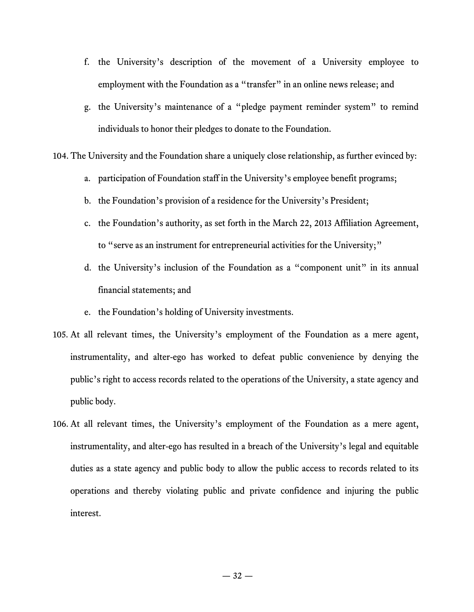- f. the University's description of the movement of a University employee to employment with the Foundation as a "transfer" in an online news release; and
- g. the University's maintenance of a "pledge payment reminder system" to remind individuals to honor their pledges to donate to the Foundation.

104. The University and the Foundation share a uniquely close relationship, as further evinced by:

- a. participation of Foundation staff in the University's employee benefit programs;
- b. the Foundation's provision of a residence for the University's President;
- c. the Foundation's authority, as set forth in the March 22, 2013 Affiliation Agreement, to "serve as an instrument for entrepreneurial activities for the University;"
- d. the University's inclusion of the Foundation as a "component unit" in its annual financial statements; and
- e. the Foundation's holding of University investments.
- 105. At all relevant times, the University's employment of the Foundation as a mere agent, instrumentality, and alter-ego has worked to defeat public convenience by denying the public's right to access records related to the operations of the University, a state agency and public body.
- 106. At all relevant times, the University's employment of the Foundation as a mere agent, instrumentality, and alter-ego has resulted in a breach of the University's legal and equitable duties as a state agency and public body to allow the public access to records related to its operations and thereby violating public and private confidence and injuring the public interest.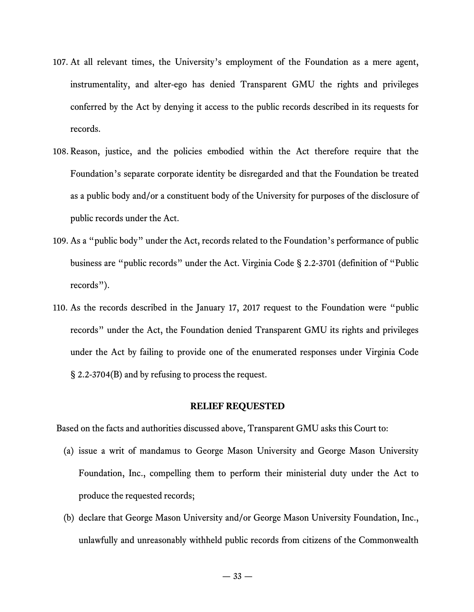- 107. At all relevant times, the University's employment of the Foundation as a mere agent, instrumentality, and alter-ego has denied Transparent GMU the rights and privileges conferred by the Act by denying it access to the public records described in its requests for records.
- 108. Reason, justice, and the policies embodied within the Act therefore require that the Foundation's separate corporate identity be disregarded and that the Foundation be treated as a public body and/or a constituent body of the University for purposes of the disclosure of public records under the Act.
- 109. As a "public body" under the Act, records related to the Foundation's performance of public business are "public records" under the Act. Virginia Code § 2.2-3701 (definition of "Public records").
- 110. As the records described in the January 17, 2017 request to the Foundation were "public records" under the Act, the Foundation denied Transparent GMU its rights and privileges under the Act by failing to provide one of the enumerated responses under Virginia Code § 2.2-3704(B) and by refusing to process the request.

#### **RELIEF REQUESTED**

Based on the facts and authorities discussed above, Transparent GMU asks this Court to:

- (a) issue a writ of mandamus to George Mason University and George Mason University Foundation, Inc., compelling them to perform their ministerial duty under the Act to produce the requested records;
- (b) declare that George Mason University and/or George Mason University Foundation, Inc., unlawfully and unreasonably withheld public records from citizens of the Commonwealth